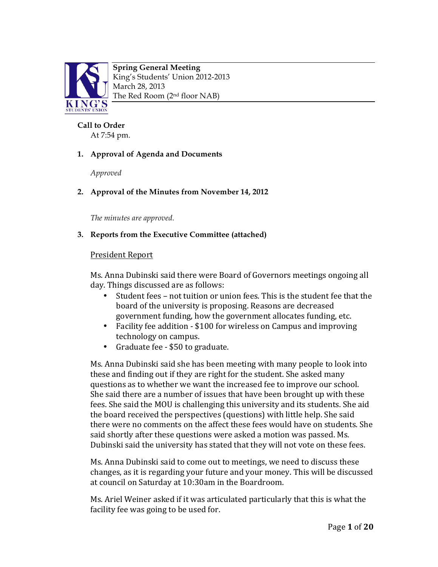

**Spring General Meeting** King's Students' Union 2012-2013 March 28, 2013 The Red Room (2nd floor NAB)

#### **Call to Order**

At 7:54 pm.

### **1. Approval of Agenda and Documents**

*Approved* 

### **2. Approval of the Minutes from November 14, 2012**

*The minutes are approved.* 

### **3. Reports from the Executive Committee (attached)**

### **President Report**

Ms. Anna Dubinski said there were Board of Governors meetings ongoing all day. Things discussed are as follows:

- Student fees not tuition or union fees. This is the student fee that the board of the university is proposing. Reasons are decreased government funding, how the government allocates funding, etc.
- Facility fee addition \$100 for wireless on Campus and improving technology on campus.
- Graduate fee \$50 to graduate.

Ms. Anna Dubinski said she has been meeting with many people to look into these and finding out if they are right for the student. She asked many questions as to whether we want the increased fee to improve our school. She said there are a number of issues that have been brought up with these fees. She said the MOU is challenging this university and its students. She aid the board received the perspectives (questions) with little help. She said there were no comments on the affect these fees would have on students. She said shortly after these questions were asked a motion was passed. Ms. Dubinski said the university has stated that they will not vote on these fees.

Ms. Anna Dubinski said to come out to meetings, we need to discuss these changes, as it is regarding your future and your money. This will be discussed at council on Saturday at 10:30am in the Boardroom.

Ms. Ariel Weiner asked if it was articulated particularly that this is what the facility fee was going to be used for.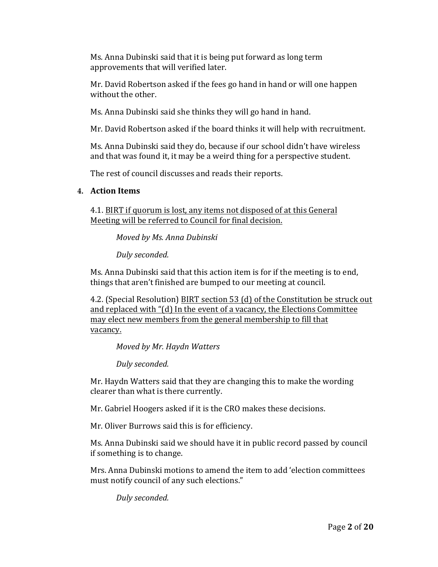Ms. Anna Dubinski said that it is being put forward as long term approvements that will verified later.

Mr. David Robertson asked if the fees go hand in hand or will one happen without the other.

Ms. Anna Dubinski said she thinks they will go hand in hand.

Mr. David Robertson asked if the board thinks it will help with recruitment.

Ms. Anna Dubinski said they do, because if our school didn't have wireless and that was found it, it may be a weird thing for a perspective student.

The rest of council discusses and reads their reports.

### **4. Action Items**

4.1. BIRT if quorum is lost, any items not disposed of at this General Meeting will be referred to Council for final decision.

*Moved by Ms. Anna Dubinski*

*Duly seconded.* 

Ms. Anna Dubinski said that this action item is for if the meeting is to end, things that aren't finished are bumped to our meeting at council.

4.2. (Special Resolution) BIRT section 53 (d) of the Constitution be struck out and replaced with " $(d)$  In the event of a vacancy, the Elections Committee may elect new members from the general membership to fill that vacancy.

*Moved by Mr. Haydn Watters*

*Duly seconded.* 

Mr. Haydn Watters said that they are changing this to make the wording clearer than what is there currently.

Mr. Gabriel Hoogers asked if it is the CRO makes these decisions.

Mr. Oliver Burrows said this is for efficiency.

Ms. Anna Dubinski said we should have it in public record passed by council if something is to change.

Mrs. Anna Dubinski motions to amend the item to add 'election committees must notify council of any such elections."

*Duly seconded.*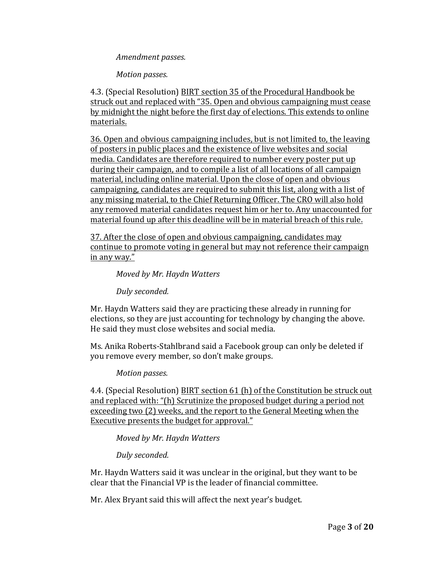#### Amendment passes.

*Motion passes.*

4.3. (Special Resolution) BIRT section 35 of the Procedural Handbook be struck out and replaced with "35. Open and obvious campaigning must cease by midnight the night before the first day of elections. This extends to online materials.

36. Open and obvious campaigning includes, but is not limited to, the leaving of posters in public places and the existence of live websites and social media. Candidates are therefore required to number every poster put up during their campaign, and to compile a list of all locations of all campaign material, including online material. Upon the close of open and obvious campaigning, candidates are required to submit this list, along with a list of any missing material, to the Chief Returning Officer. The CRO will also hold any removed material candidates request him or her to. Any unaccounted for material found up after this deadline will be in material breach of this rule.

37. After the close of open and obvious campaigning, candidates may continue to promote voting in general but may not reference their campaign in any way."

*Moved by Mr. Haydn Watters*

*Duly seconded.* 

Mr. Haydn Watters said they are practicing these already in running for elections, so they are just accounting for technology by changing the above. He said they must close websites and social media.

Ms. Anika Roberts-Stahlbrand said a Facebook group can only be deleted if you remove every member, so don't make groups.

*Motion passes.* 

4.4. (Special Resolution) BIRT section 61 (h) of the Constitution be struck out and replaced with: "(h) Scrutinize the proposed budget during a period not exceeding two (2) weeks, and the report to the General Meeting when the Executive presents the budget for approval."

*Moved by Mr. Haydn Watters*

*Duly seconded.* 

Mr. Haydn Watters said it was unclear in the original, but they want to be clear that the Financial VP is the leader of financial committee.

Mr. Alex Bryant said this will affect the next year's budget.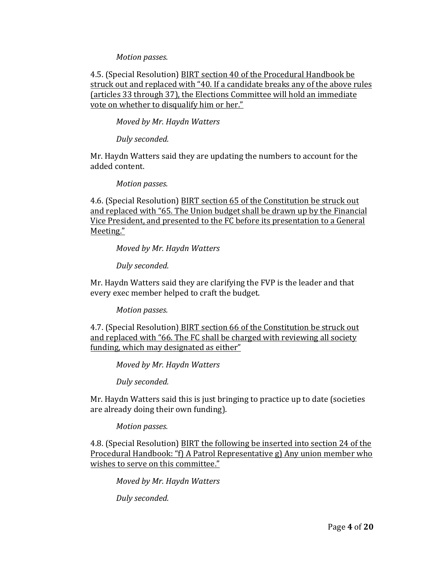#### *Motion passes.*

4.5. (Special Resolution) BIRT section 40 of the Procedural Handbook be struck out and replaced with "40. If a candidate breaks any of the above rules (articles 33 through 37), the Elections Committee will hold an immediate vote on whether to disqualify him or her."

*Moved by Mr. Haydn Watters*

*Duly seconded.* 

Mr. Haydn Watters said they are updating the numbers to account for the added content.

*Motion passes.* 

4.6. (Special Resolution) BIRT section 65 of the Constitution be struck out and replaced with "65. The Union budget shall be drawn up by the Financial Vice President, and presented to the FC before its presentation to a General Meeting."

*Moved by Mr. Haydn Watters*

*Duly seconded.* 

Mr. Haydn Watters said they are clarifying the FVP is the leader and that every exec member helped to craft the budget.

*Motion passes.*

4.7. (Special Resolution) BIRT section 66 of the Constitution be struck out and replaced with "66. The FC shall be charged with reviewing all society funding, which may designated as either"

*Moved by Mr. Haydn Watters*

*Duly seconded.* 

Mr. Haydn Watters said this is just bringing to practice up to date (societies are already doing their own funding).

*Motion passes.* 

4.8. (Special Resolution) BIRT the following be inserted into section 24 of the Procedural Handbook: "f) A Patrol Representative g) Any union member who wishes to serve on this committee."

*Moved by Mr. Haydn Watters*

*Duly seconded.*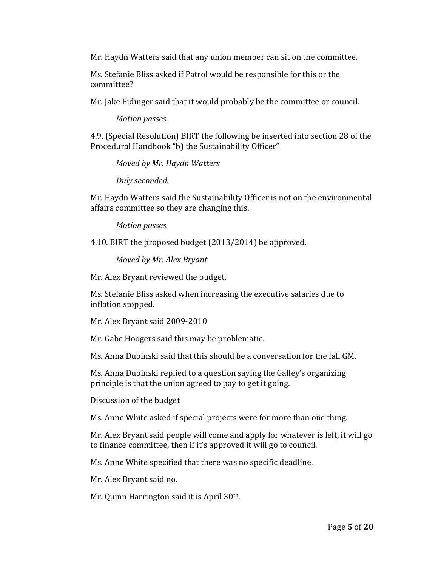Mr. Haydn Watters said that any union member can sit on the committee.

Ms. Stefanie Bliss asked if Patrol would be responsible for this or the committee?

Mr. Jake Eidinger said that it would probably be the committee or council.

*Motion passes.* 

4.9. (Special Resolution) BIRT the following be inserted into section 28 of the Procedural Handbook "b) the Sustainability Officer"

*Moved by Mr. Haydn Watters*

*Duly seconded.*

Mr. Haydn Watters said the Sustainability Officer is not on the environmental affairs committee so they are changing this.

*Motion passes.* 

4.10. BIRT the proposed budget (2013/2014) be approved.

*Moved by Mr. Alex Bryant*

Mr. Alex Bryant reviewed the budget.

Ms. Stefanie Bliss asked when increasing the executive salaries due to inflation stopped.

Mr. Alex Bryant said 2009-2010

Mr. Gabe Hoogers said this may be problematic.

Ms. Anna Dubinski said that this should be a conversation for the fall GM.

Ms. Anna Dubinski replied to a question saying the Galley's organizing principle is that the union agreed to pay to get it going.

Discussion of the budget

Ms. Anne White asked if special projects were for more than one thing.

Mr. Alex Bryant said people will come and apply for whatever is left, it will go to finance committee, then if it's approved it will go to council.

Ms. Anne White specified that there was no specific deadline.

Mr. Alex Bryant said no.

Mr. Quinn Harrington said it is April  $30<sup>th</sup>$ .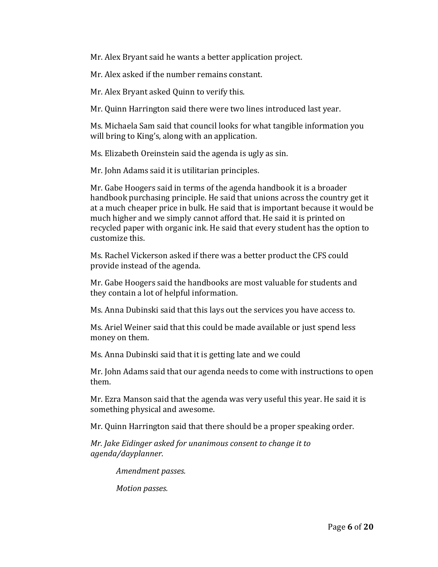Mr. Alex Bryant said he wants a better application project.

Mr. Alex asked if the number remains constant.

Mr. Alex Bryant asked Quinn to verify this.

Mr. Quinn Harrington said there were two lines introduced last year.

Ms. Michaela Sam said that council looks for what tangible information you will bring to King's, along with an application.

Ms. Elizabeth Oreinstein said the agenda is ugly as sin.

Mr. John Adams said it is utilitarian principles.

Mr. Gabe Hoogers said in terms of the agenda handbook it is a broader handbook purchasing principle. He said that unions across the country get it at a much cheaper price in bulk. He said that is important because it would be much higher and we simply cannot afford that. He said it is printed on recycled paper with organic ink. He said that every student has the option to customize this.

Ms. Rachel Vickerson asked if there was a better product the CFS could provide instead of the agenda.

Mr. Gabe Hoogers said the handbooks are most valuable for students and they contain a lot of helpful information.

Ms. Anna Dubinski said that this lays out the services you have access to.

Ms. Ariel Weiner said that this could be made available or just spend less money on them.

Ms. Anna Dubinski said that it is getting late and we could

Mr. John Adams said that our agenda needs to come with instructions to open them. 

Mr. Ezra Manson said that the agenda was very useful this year. He said it is something physical and awesome.

Mr. Quinn Harrington said that there should be a proper speaking order.

*Mr. Jake Eidinger asked for unanimous consent to change it to agenda/dayplanner.* 

*Amendment passes.* 

*Motion passes.*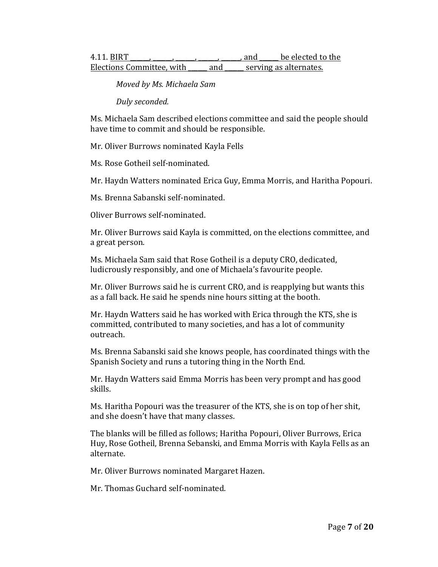| 4.11. BIRT                |     | and                    | be elected to the |
|---------------------------|-----|------------------------|-------------------|
| Elections Committee, with | and | serving as alternates. |                   |

*Moved by Ms. Michaela Sam*

*Duly seconded.* 

Ms. Michaela Sam described elections committee and said the people should have time to commit and should be responsible.

Mr. Oliver Burrows nominated Kayla Fells

Ms. Rose Gotheil self-nominated.

Mr. Haydn Watters nominated Erica Guy, Emma Morris, and Haritha Popouri.

Ms. Brenna Sabanski self-nominated.

Oliver Burrows self-nominated.

Mr. Oliver Burrows said Kayla is committed, on the elections committee, and a great person.

Ms. Michaela Sam said that Rose Gotheil is a deputy CRO, dedicated, ludicrously responsibly, and one of Michaela's favourite people.

Mr. Oliver Burrows said he is current CRO, and is reapplying but wants this as a fall back. He said he spends nine hours sitting at the booth.

Mr. Haydn Watters said he has worked with Erica through the KTS, she is committed, contributed to many societies, and has a lot of community outreach. 

Ms. Brenna Sabanski said she knows people, has coordinated things with the Spanish Society and runs a tutoring thing in the North End.

Mr. Haydn Watters said Emma Morris has been very prompt and has good skills. 

Ms. Haritha Popouri was the treasurer of the KTS, she is on top of her shit, and she doesn't have that many classes.

The blanks will be filled as follows; Haritha Popouri, Oliver Burrows, Erica Huy, Rose Gotheil, Brenna Sebanski, and Emma Morris with Kayla Fells as an alternate. 

Mr. Oliver Burrows nominated Margaret Hazen.

Mr. Thomas Guchard self-nominated.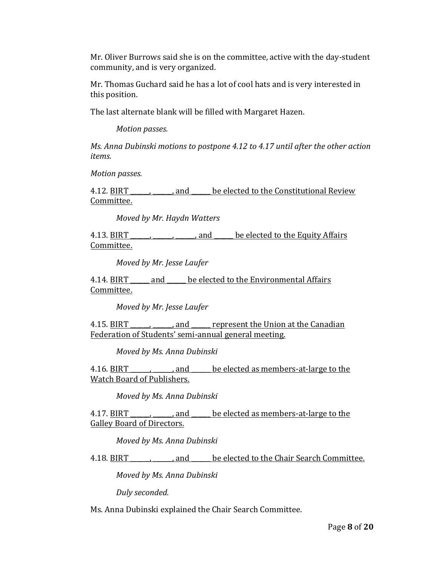Mr. Oliver Burrows said she is on the committee, active with the day-student community, and is very organized.

Mr. Thomas Guchard said he has a lot of cool hats and is very interested in this position.

The last alternate blank will be filled with Margaret Hazen.

*Motion passes.* 

*Ms. Anna Dubinski motions to postpone 4.12 to 4.17 until after the other action items.* 

*Motion passes.*

4.12. BIRT \_\_\_\_\_\_, \_\_\_\_\_, and \_\_\_\_\_ be elected to the Constitutional Review Committee.

*Moved by Mr. Haydn Watters*

4.13. BIRT  $\frac{1}{\frac{1}{\sqrt{1-\frac{1}{\sqrt{1-\frac{1}{\sqrt{1-\frac{1}{\sqrt{1-\frac{1}{\sqrt{1-\frac{1}{\sqrt{1-\frac{1}{\sqrt{1-\frac{1}{\sqrt{1-\frac{1}{\sqrt{1-\frac{1}{\sqrt{1-\frac{1}{\sqrt{1-\frac{1}{\sqrt{1-\frac{1}{\sqrt{1-\frac{1}{\sqrt{1-\frac{1}{\sqrt{1-\frac{1}{\sqrt{1-\frac{1}{\sqrt{1-\frac{1}{\sqrt{1-\frac{1}{\sqrt{1-\frac{1}{\sqrt{1-\frac{1}{\sqrt{1-\frac{1}{\sqrt{1-\frac{1}{\$ Committee.

*Moved by Mr. Jesse Laufer*

4.14. BIRT \_\_\_\_\_ and \_\_\_\_\_ be elected to the Environmental Affairs Committee.

*Moved by Mr. Jesse Laufer*

4.15. BIRT end represent the Union at the Canadian Federation of Students' semi-annual general meeting.

*Moved by Ms. Anna Dubinski*

4.16. BIRT external contract as members-at-large to the Watch Board of Publishers.

*Moved by Ms. Anna Dubinski*

4.17. BIRT \_\_\_\_\_\_, \_\_\_\_\_, and \_\_\_\_\_ be elected as members-at-large to the Galley Board of Directors.

*Moved by Ms. Anna Dubinski*

4.18. BIRT \_\_\_\_\_\_, \_\_\_\_\_, and \_\_\_\_\_ be elected to the Chair Search Committee.

*Moved by Ms. Anna Dubinski*

*Duly seconded.* 

Ms. Anna Dubinski explained the Chair Search Committee.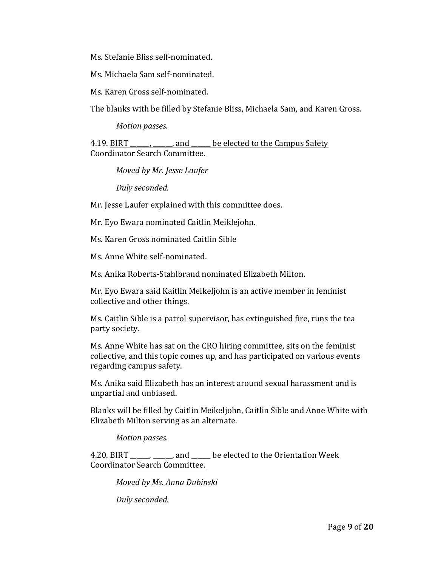Ms. Stefanie Bliss self-nominated.

Ms. Michaela Sam self-nominated.

Ms. Karen Gross self-nominated.

The blanks with be filled by Stefanie Bliss, Michaela Sam, and Karen Gross.

*Motion passes.* 

4.19. BIRT external only and the elected to the Campus Safety Coordinator Search Committee.

*Moved by Mr. Jesse Laufer*

*Duly seconded.* 

Mr. Jesse Laufer explained with this committee does.

Mr. Eyo Ewara nominated Caitlin Meiklejohn.

Ms. Karen Gross nominated Caitlin Sible

Ms. Anne White self-nominated.

Ms. Anika Roberts-Stahlbrand nominated Elizabeth Milton.

Mr. Eyo Ewara said Kaitlin Meikeljohn is an active member in feminist collective and other things.

Ms. Caitlin Sible is a patrol supervisor, has extinguished fire, runs the tea party society.

Ms. Anne White has sat on the CRO hiring committee, sits on the feminist collective, and this topic comes up, and has participated on various events regarding campus safety.

Ms. Anika said Elizabeth has an interest around sexual harassment and is unpartial and unbiased.

Blanks will be filled by Caitlin Meikeljohn, Caitlin Sible and Anne White with Elizabeth Milton serving as an alternate.

*Motion passes.* 

4.20. BIRT The contract and the elected to the Orientation Week Coordinator Search Committee.

*Moved by Ms. Anna Dubinski*

*Duly seconded.*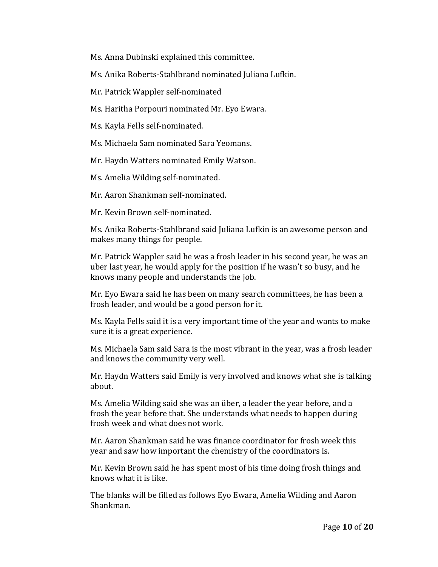Ms. Anna Dubinski explained this committee.

Ms. Anika Roberts-Stahlbrand nominated Juliana Lufkin.

Mr. Patrick Wappler self-nominated

Ms. Haritha Porpouri nominated Mr. Eyo Ewara.

Ms. Kayla Fells self-nominated.

Ms. Michaela Sam nominated Sara Yeomans.

Mr. Haydn Watters nominated Emily Watson.

Ms. Amelia Wilding self-nominated.

Mr. Aaron Shankman self-nominated.

Mr. Kevin Brown self-nominated.

Ms. Anika Roberts-Stahlbrand said Juliana Lufkin is an awesome person and makes many things for people.

Mr. Patrick Wappler said he was a frosh leader in his second year, he was an uber last year, he would apply for the position if he wasn't so busy, and he knows many people and understands the job.

Mr. Eyo Ewara said he has been on many search committees, he has been a frosh leader, and would be a good person for it.

Ms. Kayla Fells said it is a very important time of the year and wants to make sure it is a great experience.

Ms. Michaela Sam said Sara is the most vibrant in the year, was a frosh leader and knows the community very well.

Mr. Haydn Watters said Emily is very involved and knows what she is talking about. 

Ms. Amelia Wilding said she was an über, a leader the year before, and a frosh the year before that. She understands what needs to happen during frosh week and what does not work.

Mr. Aaron Shankman said he was finance coordinator for frosh week this year and saw how important the chemistry of the coordinators is.

Mr. Kevin Brown said he has spent most of his time doing frosh things and knows what it is like.

The blanks will be filled as follows Eyo Ewara, Amelia Wilding and Aaron Shankman.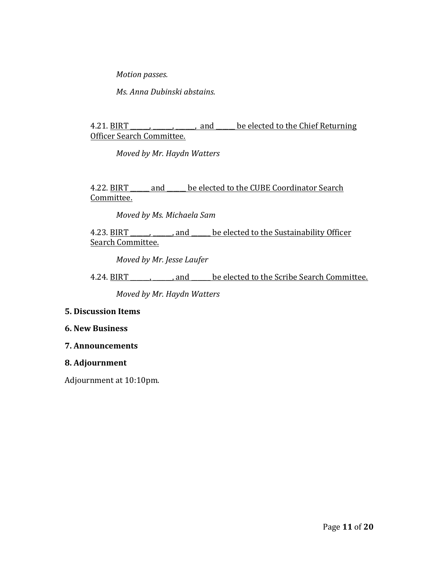*Motion passes.* 

*Ms. Anna Dubinski abstains.* 

### 4.21. BIRT \_\_\_\_\_\_\_\_\_\_\_\_\_\_\_\_\_, and \_\_\_\_\_ be elected to the Chief Returning Officer Search Committee.

*Moved by Mr. Haydn Watters*

4.22. BIRT \_\_\_\_\_\_ and \_\_\_\_\_ be elected to the CUBE Coordinator Search Committee.

*Moved by Ms. Michaela Sam*

### 4.23. BIRT \_\_\_\_\_\_\_\_\_\_, and \_\_\_\_\_ be elected to the Sustainability Officer Search Committee.

*Moved by Mr. Jesse Laufer*

4.24. BIRT \_\_\_\_\_\_\_\_\_\_\_\_, and \_\_\_\_\_\_ be elected to the Scribe Search Committee.

*Moved by Mr. Haydn Watters*

### **5. Discussion Items**

#### **6. New Business**

**7. Announcements**

#### **8. Adjournment**

Adjournment at 10:10pm.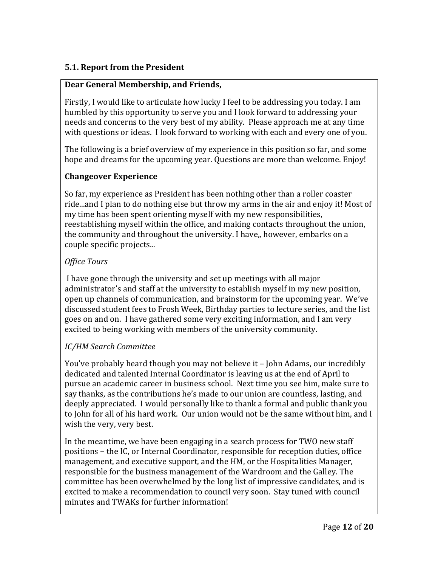### **5.1. Report from the President**

### **Dear General Membership, and Friends,**

Firstly, I would like to articulate how lucky I feel to be addressing you today. I am humbled by this opportunity to serve you and I look forward to addressing your needs and concerns to the very best of my ability. Please approach me at any time with questions or ideas. I look forward to working with each and every one of you.

The following is a brief overview of my experience in this position so far, and some hope and dreams for the upcoming year. Questions are more than welcome. Enjoy!

### **Changeover Experience**

So far, my experience as President has been nothing other than a roller coaster ride...and I plan to do nothing else but throw my arms in the air and enjoy it! Most of my time has been spent orienting myself with my new responsibilities, reestablishing myself within the office, and making contacts throughout the union, the community and throughout the university. I have,, however, embarks on a couple specific projects...

### *Office Tours*

I have gone through the university and set up meetings with all major administrator's and staff at the university to establish myself in my new position, open up channels of communication, and brainstorm for the upcoming year. We've discussed student fees to Frosh Week, Birthday parties to lecture series, and the list goes on and on. I have gathered some very exciting information, and I am very excited to being working with members of the university community.

# *IC/HM Search Committee*

You've probably heard though you may not believe it - John Adams, our incredibly dedicated and talented Internal Coordinator is leaving us at the end of April to pursue an academic career in business school. Next time you see him, make sure to say thanks, as the contributions he's made to our union are countless, lasting, and deeply appreciated. I would personally like to thank a formal and public thank you to John for all of his hard work. Our union would not be the same without him, and I wish the very, very best.

In the meantime, we have been engaging in a search process for TWO new staff positions – the IC, or Internal Coordinator, responsible for reception duties, office management, and executive support, and the HM, or the Hospitalities Manager, responsible for the business management of the Wardroom and the Galley. The committee has been overwhelmed by the long list of impressive candidates, and is excited to make a recommendation to council very soon. Stay tuned with council minutes and TWAKs for further information!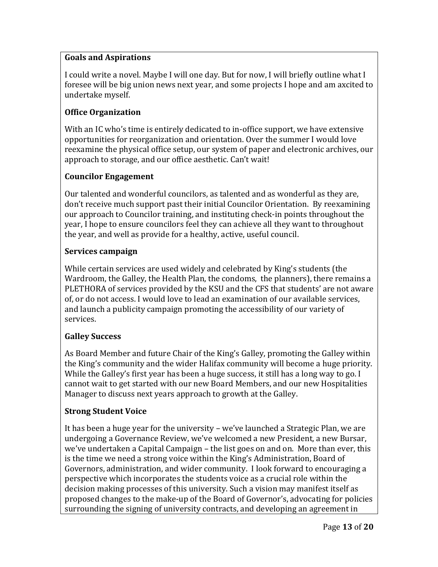### **Goals and Aspirations**

I could write a novel. Maybe I will one day. But for now, I will briefly outline what I foresee will be big union news next year, and some projects I hope and am axcited to undertake myself.

# **Office Organization**

With an IC who's time is entirely dedicated to in-office support, we have extensive opportunities for reorganization and orientation. Over the summer I would love reexamine the physical office setup, our system of paper and electronic archives, our approach to storage, and our office aesthetic. Can't wait!

### **Councilor Engagement**

Our talented and wonderful councilors, as talented and as wonderful as they are, don't receive much support past their initial Councilor Orientation. By reexamining our approach to Councilor training, and instituting check-in points throughout the year, I hope to ensure councilors feel they can achieve all they want to throughout the year, and well as provide for a healthy, active, useful council.

### **Services campaign**

While certain services are used widely and celebrated by King's students (the Wardroom, the Galley, the Health Plan, the condoms, the planners), there remains a PLETHORA of services provided by the KSU and the CFS that students' are not aware of, or do not access. I would love to lead an examination of our available services, and launch a publicity campaign promoting the accessibility of our variety of services. 

# **Galley Success**

As Board Member and future Chair of the King's Galley, promoting the Galley within the King's community and the wider Halifax community will become a huge priority. While the Galley's first year has been a huge success, it still has a long way to go. I cannot wait to get started with our new Board Members, and our new Hospitalities Manager to discuss next years approach to growth at the Galley.

### **Strong Student Voice**

It has been a huge year for the university – we've launched a Strategic Plan, we are undergoing a Governance Review, we've welcomed a new President, a new Bursar, we've undertaken a Capital Campaign – the list goes on and on. More than ever, this is the time we need a strong voice within the King's Administration, Board of Governors, administration, and wider community. I look forward to encouraging a perspective which incorporates the students voice as a crucial role within the decision making processes of this university. Such a vision may manifest itself as proposed changes to the make-up of the Board of Governor's, advocating for policies surrounding the signing of university contracts, and developing an agreement in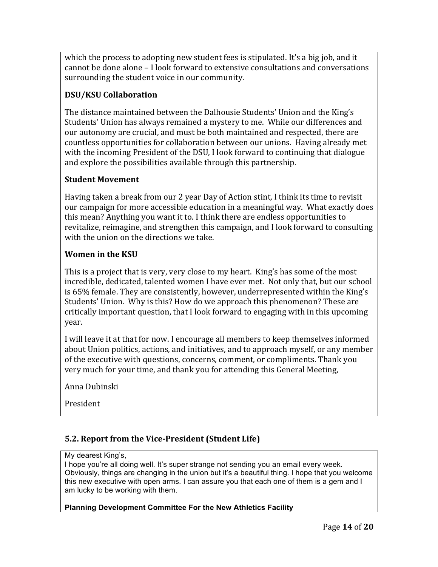which the process to adopting new student fees is stipulated. It's a big job, and it cannot be done alone  $-1$  look forward to extensive consultations and conversations surrounding the student voice in our community.

# **DSU/KSU Collaboration**

The distance maintained between the Dalhousie Students' Union and the King's Students' Union has always remained a mystery to me. While our differences and our autonomy are crucial, and must be both maintained and respected, there are countless opportunities for collaboration between our unions. Having already met with the incoming President of the DSU, I look forward to continuing that dialogue and explore the possibilities available through this partnership.

### **Student Movement**

Having taken a break from our 2 year Day of Action stint, I think its time to revisit our campaign for more accessible education in a meaningful way. What exactly does this mean? Anything you want it to. I think there are endless opportunities to revitalize, reimagine, and strengthen this campaign, and I look forward to consulting with the union on the directions we take.

### **Women in the KSU**

This is a project that is very, very close to my heart. King's has some of the most incredible, dedicated, talented women I have ever met. Not only that, but our school is 65% female. They are consistently, however, underrepresented within the King's Students' Union. Why is this? How do we approach this phenomenon? These are critically important question, that I look forward to engaging with in this upcoming year. 

I will leave it at that for now. I encourage all members to keep themselves informed about Union politics, actions, and initiatives, and to approach myself, or any member of the executive with questions, concerns, comment, or compliments. Thank you very much for your time, and thank you for attending this General Meeting,

Anna Dubinski

President

# **5.2. Report from the Vice-President (Student Life)**

#### My dearest King's,

I hope you're all doing well. It's super strange not sending you an email every week. Obviously, things are changing in the union but it's a beautiful thing. I hope that you welcome this new executive with open arms. I can assure you that each one of them is a gem and I am lucky to be working with them.

### **Planning Development Committee For the New Athletics Facility**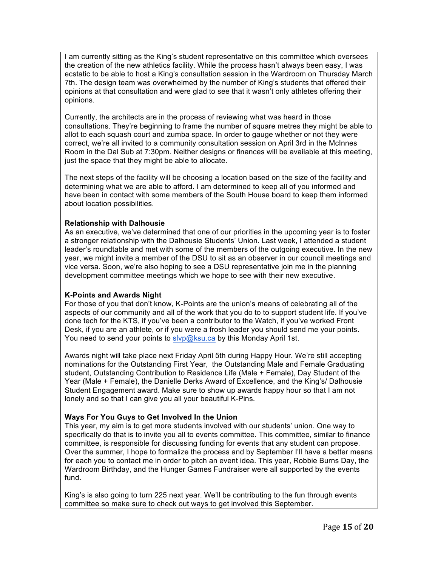I am currently sitting as the King's student representative on this committee which oversees the creation of the new athletics facility. While the process hasn't always been easy, I was ecstatic to be able to host a King's consultation session in the Wardroom on Thursday March 7th. The design team was overwhelmed by the number of King's students that offered their opinions at that consultation and were glad to see that it wasn't only athletes offering their opinions.

Currently, the architects are in the process of reviewing what was heard in those consultations. They're beginning to frame the number of square metres they might be able to allot to each squash court and zumba space. In order to gauge whether or not they were correct, we're all invited to a community consultation session on April 3rd in the McInnes Room in the Dal Sub at 7:30pm. Neither designs or finances will be available at this meeting, just the space that they might be able to allocate.

The next steps of the facility will be choosing a location based on the size of the facility and determining what we are able to afford. I am determined to keep all of you informed and have been in contact with some members of the South House board to keep them informed about location possibilities.

#### **Relationship with Dalhousie**

As an executive, we've determined that one of our priorities in the upcoming year is to foster a stronger relationship with the Dalhousie Students' Union. Last week, I attended a student leader's roundtable and met with some of the members of the outgoing executive. In the new year, we might invite a member of the DSU to sit as an observer in our council meetings and vice versa. Soon, we're also hoping to see a DSU representative join me in the planning development committee meetings which we hope to see with their new executive.

#### **K-Points and Awards Night**

For those of you that don't know, K-Points are the union's means of celebrating all of the aspects of our community and all of the work that you do to to support student life. If you've done tech for the KTS, if you've been a contributor to the Watch, if you've worked Front Desk, if you are an athlete, or if you were a frosh leader you should send me your points. You need to send your points to slyp@ksu.ca by this Monday April 1st.

Awards night will take place next Friday April 5th during Happy Hour. We're still accepting nominations for the Outstanding First Year, the Outstanding Male and Female Graduating student, Outstanding Contribution to Residence Life (Male + Female), Day Student of the Year (Male + Female), the Danielle Derks Award of Excellence, and the King's/ Dalhousie Student Engagement award. Make sure to show up awards happy hour so that I am not lonely and so that I can give you all your beautiful K-Pins.

#### **Ways For You Guys to Get Involved In the Union**

This year, my aim is to get more students involved with our students' union. One way to specifically do that is to invite you all to events committee. This committee, similar to finance committee, is responsible for discussing funding for events that any student can propose. Over the summer, I hope to formalize the process and by September I'll have a better means for each you to contact me in order to pitch an event idea. This year, Robbie Burns Day, the Wardroom Birthday, and the Hunger Games Fundraiser were all supported by the events fund.

King's is also going to turn 225 next year. We'll be contributing to the fun through events committee so make sure to check out ways to get involved this September.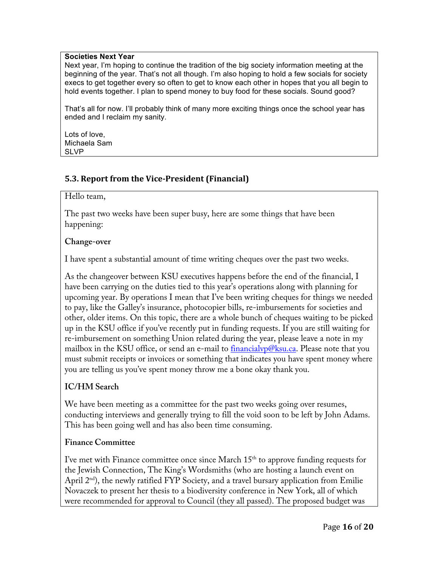#### **Societies Next Year**

Next year, I'm hoping to continue the tradition of the big society information meeting at the beginning of the year. That's not all though. I'm also hoping to hold a few socials for society execs to get together every so often to get to know each other in hopes that you all begin to hold events together. I plan to spend money to buy food for these socials. Sound good?

That's all for now. I'll probably think of many more exciting things once the school year has ended and I reclaim my sanity.

Lots of love, Michaela Sam SLVP

### **5.3. Report from the Vice-President (Financial)**

#### Hello team,

The past two weeks have been super busy, here are some things that have been happening:

#### **Change-over**

I have spent a substantial amount of time writing cheques over the past two weeks.

As the changeover between KSU executives happens before the end of the financial, I have been carrying on the duties tied to this year's operations along with planning for upcoming year. By operations I mean that I've been writing cheques for things we needed to pay, like the Galley's insurance, photocopier bills, re-imbursements for societies and other, older items. On this topic, there are a whole bunch of cheques waiting to be picked up in the KSU office if you've recently put in funding requests. If you are still waiting for re-imbursement on something Union related during the year, please leave a note in my mailbox in the KSU office, or send an e-mail to financial  $vp@$ ksu.ca. Please note that you must submit receipts or invoices or something that indicates you have spent money where you are telling us you've spent money throw me a bone okay thank you.

# **IC/HM Search**

We have been meeting as a committee for the past two weeks going over resumes, conducting interviews and generally trying to fill the void soon to be left by John Adams. This has been going well and has also been time consuming.

### **Finance Committee**

I've met with Finance committee once since March  $15<sup>th</sup>$  to approve funding requests for the Jewish Connection, The King's Wordsmiths (who are hosting a launch event on April  $2<sup>nd</sup>$ , the newly ratified FYP Society, and a travel bursary application from Emilie Novaczek to present her thesis to a biodiversity conference in New York, all of which were recommended for approval to Council (they all passed). The proposed budget was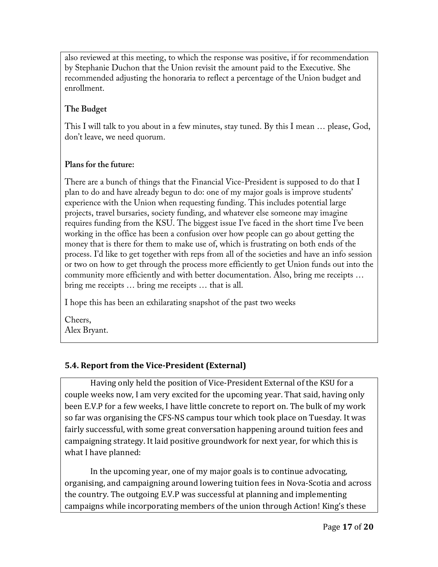also reviewed at this meeting, to which the response was positive, if for recommendation by Stephanie Duchon that the Union revisit the amount paid to the Executive. She recommended adjusting the honoraria to reflect a percentage of the Union budget and enrollment.

# **The Budget**

This I will talk to you about in a few minutes, stay tuned. By this I mean … please, God, don't leave, we need quorum.

# **Plans for the future:**

There are a bunch of things that the Financial Vice-President is supposed to do that I plan to do and have already begun to do: one of my major goals is improve students' experience with the Union when requesting funding. This includes potential large projects, travel bursaries, society funding, and whatever else someone may imagine requires funding from the KSU. The biggest issue I've faced in the short time I've been working in the office has been a confusion over how people can go about getting the money that is there for them to make use of, which is frustrating on both ends of the process. I'd like to get together with reps from all of the societies and have an info session or two on how to get through the process more efficiently to get Union funds out into the community more efficiently and with better documentation. Also, bring me receipts … bring me receipts … bring me receipts … that is all.

I hope this has been an exhilarating snapshot of the past two weeks

Cheers, Alex Bryant.

# **5.4. Report from the Vice-President (External)**

Having only held the position of Vice-President External of the KSU for a couple weeks now, I am very excited for the upcoming year. That said, having only been E.V.P for a few weeks, I have little concrete to report on. The bulk of my work so far was organising the CFS-NS campus tour which took place on Tuesday. It was fairly successful, with some great conversation happening around tuition fees and campaigning strategy. It laid positive groundwork for next year, for which this is what I have planned:

In the upcoming year, one of my major goals is to continue advocating, organising, and campaigning around lowering tuition fees in Nova-Scotia and across the country. The outgoing E.V.P was successful at planning and implementing campaigns while incorporating members of the union through Action! King's these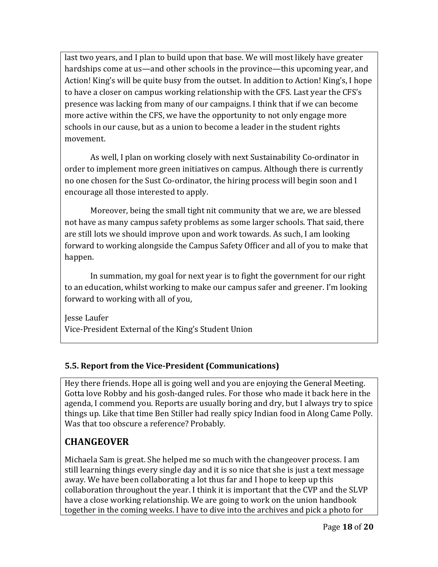last two years, and I plan to build upon that base. We will most likely have greater hardships come at us—and other schools in the province—this upcoming year, and Action! King's will be quite busy from the outset. In addition to Action! King's, I hope to have a closer on campus working relationship with the CFS. Last year the CFS's presence was lacking from many of our campaigns. I think that if we can become more active within the CFS, we have the opportunity to not only engage more schools in our cause, but as a union to become a leader in the student rights movement.

As well, I plan on working closely with next Sustainability Co-ordinator in order to implement more green initiatives on campus. Although there is currently no one chosen for the Sust Co-ordinator, the hiring process will begin soon and I encourage all those interested to apply.

Moreover, being the small tight nit community that we are, we are blessed not have as many campus safety problems as some larger schools. That said, there are still lots we should improve upon and work towards. As such, I am looking forward to working alongside the Campus Safety Officer and all of you to make that happen.

In summation, my goal for next year is to fight the government for our right to an education, whilst working to make our campus safer and greener. I'm looking forward to working with all of you,

Jesse Laufer Vice-President External of the King's Student Union

# **5.5. Report from the Vice-President (Communications)**

Hey there friends. Hope all is going well and you are enjoying the General Meeting. Gotta love Robby and his gosh-danged rules. For those who made it back here in the agenda, I commend you. Reports are usually boring and dry, but I always try to spice things up. Like that time Ben Stiller had really spicy Indian food in Along Came Polly. Was that too obscure a reference? Probably.

# **CHANGEOVER**

Michaela Sam is great. She helped me so much with the changeover process. I am still learning things every single day and it is so nice that she is just a text message away. We have been collaborating a lot thus far and I hope to keep up this collaboration throughout the year. I think it is important that the CVP and the SLVP have a close working relationship. We are going to work on the union handbook together in the coming weeks. I have to dive into the archives and pick a photo for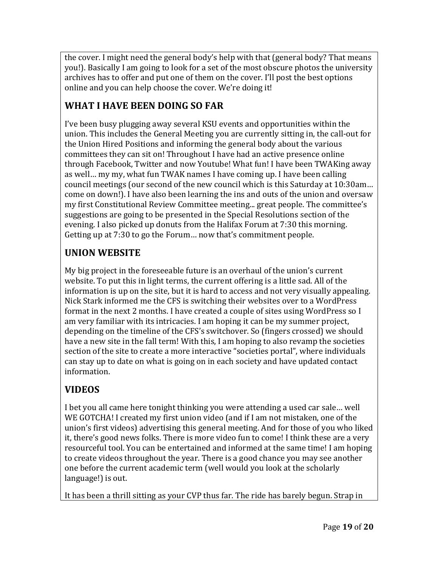the cover. I might need the general body's help with that (general body? That means you!). Basically I am going to look for a set of the most obscure photos the university archives has to offer and put one of them on the cover. I'll post the best options online and you can help choose the cover. We're doing it!

# WHAT I HAVE BEEN DOING SO FAR

I've been busy plugging away several KSU events and opportunities within the union. This includes the General Meeting you are currently sitting in, the call-out for the Union Hired Positions and informing the general body about the various committees they can sit on! Throughout I have had an active presence online through Facebook, Twitter and now Youtube! What fun! I have been TWAKing away as well... my my, what fun TWAK names I have coming up. I have been calling council meetings (our second of the new council which is this Saturday at 10:30am... come on down!). I have also been learning the ins and outs of the union and oversaw my first Constitutional Review Committee meeting... great people. The committee's suggestions are going to be presented in the Special Resolutions section of the evening. I also picked up donuts from the Halifax Forum at 7:30 this morning. Getting up at  $7:30$  to go the Forum... now that's commitment people.

# **UNION WEBSITE**

My big project in the foreseeable future is an overhaul of the union's current website. To put this in light terms, the current offering is a little sad. All of the information is up on the site, but it is hard to access and not very visually appealing. Nick Stark informed me the CFS is switching their websites over to a WordPress format in the next 2 months. I have created a couple of sites using WordPress so I am very familiar with its intricacies. I am hoping it can be my summer project, depending on the timeline of the CFS's switchover. So (fingers crossed) we should have a new site in the fall term! With this, I am hoping to also revamp the societies section of the site to create a more interactive "societies portal", where individuals can stay up to date on what is going on in each society and have updated contact information. 

# **VIDEOS**

I bet you all came here tonight thinking you were attending a used car sale... well WE GOTCHA! I created my first union video (and if I am not mistaken, one of the union's first videos) advertising this general meeting. And for those of you who liked it, there's good news folks. There is more video fun to come! I think these are a very resourceful tool. You can be entertained and informed at the same time! I am hoping to create videos throughout the year. There is a good chance you may see another one before the current academic term (well would you look at the scholarly language!) is out.

It has been a thrill sitting as your CVP thus far. The ride has barely begun. Strap in